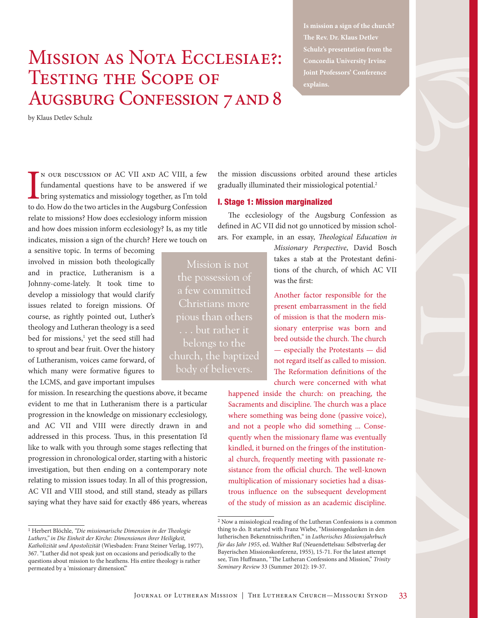# Mission as Nota Ecclesiae?: Testing the Scope of AUGSBURG CONFESSION 7 AND 8

by Klaus Detlev Schulz

IN OUR DISCUSSION OF AC VII AND AC VIII, a few fundamental questions have to be answered if we bring systematics and missiology together, as I'm told to do. How do the two articles in the Augsburg Confession n our discussion of AC VII and AC VIII, a few fundamental questions have to be answered if we bring systematics and missiology together, as I'm told relate to missions? How does ecclesiology inform mission and how does mission inform ecclesiology? Is, as my title indicates, mission a sign of the church? Here we touch on

a sensitive topic. In terms of becoming involved in mission both theologically and in practice, Lutheranism is a Johnny-come-lately. It took time to develop a missiology that would clarify issues related to foreign missions. Of course, as rightly pointed out, Luther's theology and Lutheran theology is a seed bed for missions,<sup>1</sup> yet the seed still had to sprout and bear fruit. Over the history of Lutheranism, voices came forward, of which many were formative figures to the LCMS, and gave important impulses

for mission. In researching the questions above, it became evident to me that in Lutheranism there is a particular progression in the knowledge on missionary ecclesiology, and AC VII and VIII were directly drawn in and addressed in this process. Thus, in this presentation I'd like to walk with you through some stages reflecting that progression in chronological order, starting with a historic investigation, but then ending on a contemporary note relating to mission issues today. In all of this progression, AC VII and VIII stood, and still stand, steady as pillars saying what they have said for exactly 486 years, whereas the mission discussions orbited around these articles gradually illuminated their missiological potential.<sup>2</sup>

### I. Stage 1: Mission marginalized

The ecclesiology of the Augsburg Confession as defined in AC VII did not go unnoticed by mission scholars. For example, in an essay, *Theological Education in* 

> *Missionary Perspective*, David Bosch takes a stab at the Protestant definitions of the church, of which AC VII was the first:

Another factor responsible for the present embarrassment in the field of mission is that the modern missionary enterprise was born and bred outside the church. The church — especially the Protestants — did not regard itself as called to mission. The Reformation definitions of the church were concerned with what

happened inside the church: on preaching, the Sacraments and discipline. The church was a place where something was being done (passive voice), and not a people who did something ... Consequently when the missionary flame was eventually kindled, it burned on the fringes of the institutional church, frequently meeting with passionate resistance from the official church. The well-known multiplication of missionary societies had a disastrous influence on the subsequent development of the study of mission as an academic discipline.

Mission is not the possession of a few committed Christians more pious than others . . . but rather it belongs to the church, the baptized **Is mission a sign of the church? The Rev. Dr. Klaus Detlev Schulz's presentation from the Joint Professors' Conference explains.** 

<sup>1</sup> Herbert Blöchle, *"Die missionarische Dimension in der Theologie Luthers," in Die Einheit der Kirche: Dimensionen ihrer Heiligkeit, Katholizität und Apostolizität* (Wiesbaden: Franz Steiner Verlag, 1977), 367. "Luther did not speak just on occasions and periodically to the questions about mission to the heathens. His entire theology is rather permeated by a 'missionary dimension."

<sup>2</sup> Now a missiological reading of the Lutheran Confessions is a common thing to do. It started with Franz Wiebe, "Missionsgedanken in den lutherischen Bekenntnisschriften," in *Lutherisches Missionsjahrbuch für das Jahr 1955*, ed. Walther Ruf (Neuendettelsau: Selbstverlag der Bayerischen Missionskonferenz, 1955), 15-71. For the latest attempt see, Tim Huffmann, "The Lutheran Confessions and Mission," *Trinity Seminary Review* 33 (Summer 2012): 19-37.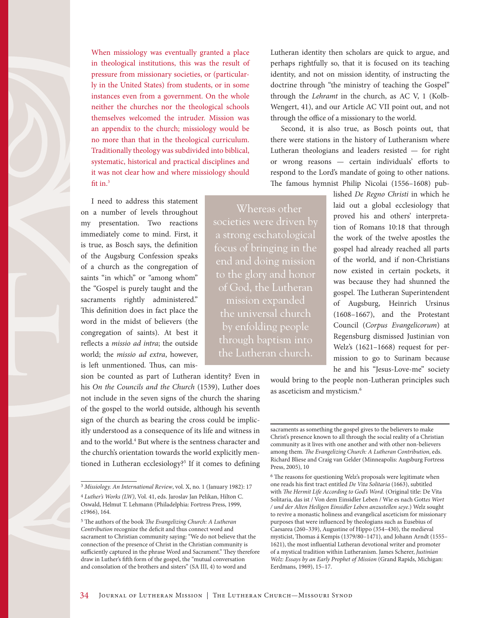When missiology was eventually granted a place in theological institutions, this was the result of pressure from missionary societies, or (particularly in the United States) from students, or in some instances even from a government. On the whole neither the churches nor the theological schools themselves welcomed the intruder. Mission was an appendix to the church; missiology would be no more than that in the theological curriculum. Traditionally theology was subdivided into biblical, systematic, historical and practical disciplines and it was not clear how and where missiology should fit in.<sup>3</sup>

I need to address this statement on a number of levels throughout my presentation. Two reactions immediately come to mind. First, it is true, as Bosch says, the definition of the Augsburg Confession speaks of a church as the congregation of saints "in which" or "among whom" the "Gospel is purely taught and the sacraments rightly administered." This definition does in fact place the word in the midst of believers (the congregation of saints). At best it reflects a *missio ad intra*; the outside world; the *missio ad extra*, however, is left unmentioned. Thus, can mis-

sion be counted as part of Lutheran identity? Even in his *On the Councils and the Church* (1539), Luther does not include in the seven signs of the church the sharing of the gospel to the world outside, although his seventh sign of the church as bearing the cross could be implicitly understood as a consequence of its life and witness in and to the world.<sup>4</sup> But where is the sentness character and the church's orientation towards the world explicitly mentioned in Lutheran ecclesiology?<sup>5</sup> If it comes to defining Lutheran identity then scholars are quick to argue, and perhaps rightfully so, that it is focused on its teaching identity, and not on mission identity, of instructing the doctrine through "the ministry of teaching the Gospel" through the *Lehramt* in the church, as AC V, 1 (Kolb-Wengert, 41), and our Article AC VII point out, and not through the office of a missionary to the world.

Second, it is also true, as Bosch points out, that there were stations in the history of Lutheranism where Lutheran theologians and leaders resisted — for right or wrong reasons — certain individuals' efforts to respond to the Lord's mandate of going to other nations. The famous hymnist Philip Nicolai (1556–1608) pub-

Whereas other societies were driven by a strong eschatological focus of bringing in the end and doing mission to the glory and honor of God, the Lutheran mission expanded the universal church by enfolding people through baptism into the Lutheran church.

lished *De Regno Christi* in which he laid out a global ecclesiology that proved his and others' interpretation of Romans 10:18 that through the work of the twelve apostles the gospel had already reached all parts of the world, and if non-Christians now existed in certain pockets, it was because they had shunned the gospel. The Lutheran Superintendent of Augsburg, Heinrich Ursinus (1608–1667), and the Protestant Council (*Corpus Evangelicorum*) at Regensburg dismissed Justinian von Welz's (1621–1668) request for permission to go to Surinam because he and his "Jesus-Love-me" society

would bring to the people non-Lutheran principles such as asceticism and mysticism.6

<sup>3</sup> *Missiology. An International Review*, vol. X, no. 1 (January 1982): 17

<sup>4</sup> *Luther's Works (LW)*, Vol. 41, eds. Jaroslav Jan Pelikan, Hilton C. Oswald, Helmut T. Lehmann (Philadelphia: Fortress Press, 1999, c1966), 164.

<sup>5</sup> The authors of the book *The Evangelizing Church: A Lutheran Contribution* recognize the deficit and thus connect word and sacrament to Christian community saying: "We do not believe that the connection of the presence of Christ in the Christian community is sufficiently captured in the phrase Word and Sacrament." They therefore draw in Luther's fifth form of the gospel, the "mutual conversation and consolation of the brothers and sisters" (SA III, 4) to word and

sacraments as something the gospel gives to the believers to make Christ's presence known to all through the social reality of a Christian community as it lives with one another and with other non-believers among them. *The Evangelizing Church: A Lutheran Contribution*, eds. Richard Bliese and Craig van Gelder (Minneapolis: Augsburg Fortress Press, 2005), 10

<sup>6</sup> The reasons for questioning Welz's proposals were legitimate when one reads his first tract entitled *De Vita Solitaria* (1663), subtitled with *The Hermit Life According to God's Word.* (Original title: De Vita Solitaria, das ist / Von dem Einsidler Leben / Wie es nach Gott*es Wort / und der Alten Heiligen Einsidler Leben anzustellen seye*.) Welz sought to revive a monastic holiness and evangelical asceticism for missionary purposes that were influenced by theologians such as Eusebius of Caesarea (260–339), Augustine of Hippo (354–430), the medieval mysticist, Thomas á Kempis (1379/80–1471), and Johann Arndt (1555– 1621), the most influential Lutheran devotional writer and promoter of a mystical tradition within Lutheranism. James Scherer, *Justinian Welz: Essays by an Early Prophet of Mission* (Grand Rapids, Michigan: Eerdmans, 1969), 15–17.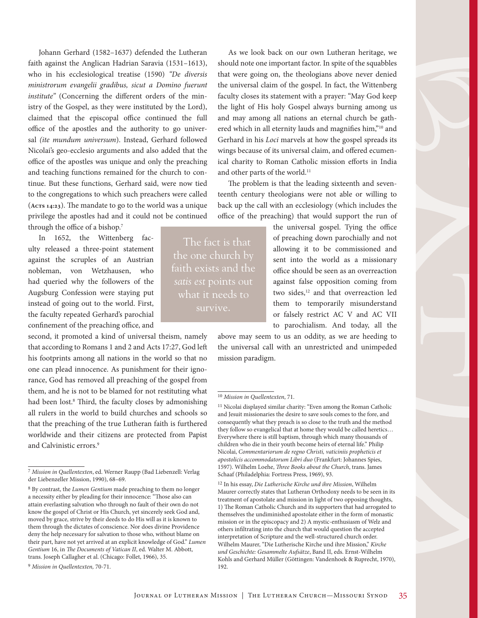Johann Gerhard (1582–1637) defended the Lutheran faith against the Anglican Hadrian Saravia (1531–1613), who in his ecclesiological treatise (1590) *"De diversis ministrorum evangelii gradibus, sicut a Domino fuerunt institute"* (Concerning the different orders of the ministry of the Gospel, as they were instituted by the Lord), claimed that the episcopal office continued the full office of the apostles and the authority to go universal *(ite mundum universum*). Instead, Gerhard followed Nicolai's geo-ecclesio arguments and also added that the office of the apostles was unique and only the preaching and teaching functions remained for the church to continue. But these functions, Gerhard said, were now tied to the congregations to which such preachers were called (**Acts 14:23**). The mandate to go to the world was a unique privilege the apostles had and it could not be continued through the office of a bishop.<sup>7</sup>

In 1652, the Wittenberg faculty released a three-point statement against the scruples of an Austrian nobleman, von Wetzhausen, who had queried why the followers of the Augsburg Confession were staying put instead of going out to the world. First, the faculty repeated Gerhard's parochial confinement of the preaching office, and

second, it promoted a kind of universal theism, namely that according to Romans 1 and 2 and Acts 17:27, God left his footprints among all nations in the world so that no one can plead innocence. As punishment for their ignorance, God has removed all preaching of the gospel from them, and he is not to be blamed for not restituting what had been lost.<sup>8</sup> Third, the faculty closes by admonishing all rulers in the world to build churches and schools so that the preaching of the true Lutheran faith is furthered worldwide and their citizens are protected from Papist and Calvinistic errors.9

As we look back on our own Lutheran heritage, we should note one important factor. In spite of the squabbles that were going on, the theologians above never denied the universal claim of the gospel. In fact, the Wittenberg faculty closes its statement with a prayer: "May God keep the light of His holy Gospel always burning among us and may among all nations an eternal church be gathered which in all eternity lauds and magnifies him,"10 and Gerhard in his *Loci* marvels at how the gospel spreads its wings because of its universal claim, and offered ecumenical charity to Roman Catholic mission efforts in India and other parts of the world.<sup>11</sup>

The problem is that the leading sixteenth and seventeenth century theologians were not able or willing to back up the call with an ecclesiology (which includes the office of the preaching) that would support the run of

> the universal gospel. Tying the office of preaching down parochially and not allowing it to be commissioned and sent into the world as a missionary office should be seen as an overreaction against false opposition coming from two sides,<sup>12</sup> and that overreaction led them to temporarily misunderstand or falsely restrict AC V and AC VII to parochialism. And today, all the

above may seem to us an oddity, as we are heeding to the universal call with an unrestricted and unimpeded mission paradigm.

12 In his essay, *Die Lutherische Kirche und ihre Mission*, Wilhelm Maurer correctly states that Lutheran Orthodoxy needs to be seen in its treatment of apostolate and mission in light of two opposing thoughts, 1) The Roman Catholic Church and its supporters that had arrogated to themselves the undiminished apostolate either in the form of monastic mission or in the episcopacy and 2) A mystic-enthusiasm of Welz and others infiltrating into the church that would question the accepted interpretation of Scripture and the well-structured church order. Wilhelm Maurer, "Die Lutherische Kirche und ihre Mission," *Kirche und Geschichte: Gesammelte Aufsätze*, Band II, eds. Ernst-Wilhelm Kohls and Gerhard Müller (Göttingen: Vandenhoek & Ruprecht, 1970), 192.

The fact is that the one church by faith exists and the *satis est* points out what it needs to survive.

<sup>7</sup> *Mission in Quellentexten*, ed. Werner Raupp (Bad Liebenzell: Verlag der Liebenzeller Mission, 1990), 68–69.

<sup>8</sup> By contrast, the *Lumen Gentium* made preaching to them no longer a necessity either by pleading for their innocence: "Those also can attain everlasting salvation who through no fault of their own do not know the gospel of Christ or His Church, yet sincerely seek God and, moved by grace, strive by their deeds to do His will as it is known to them through the dictates of conscience. Nor does divine Providence deny the help necessary for salvation to those who, without blame on their part, have not yet arrived at an explicit knowledge of God." *Lumen Gentium* 16, in *The Documents of Vatican II*, ed. Walter M. Abbott, trans. Joseph Callagher et al. (Chicago: Follet, 1966), 35.

<sup>9</sup> *Mission in Quellentexten,* 70-71.

<sup>10</sup> *Mission in Quellentexten*, 71.

 $^{11}$  Nicolai displayed similar charity: "Even among the Roman Catholic and Jesuit missionaries the desire to save souls comes to the fore, and consequently what they preach is so close to the truth and the method they follow so evangelical that at home they would be called heretics… Everywhere there is still baptism, through which many thousands of children who die in their youth become heirs of eternal life." Philip Nicolai, *Commentariorum de regno Christi, vaticiniis propheticis et apostolicis accommodatorum Libri duo* (Frankfurt: Johannes Spies, 1597). Wilhelm Loehe, *Three Books about the Church*, trans. James Schaaf (Philadelphia: Fortress Press, 1969), 93.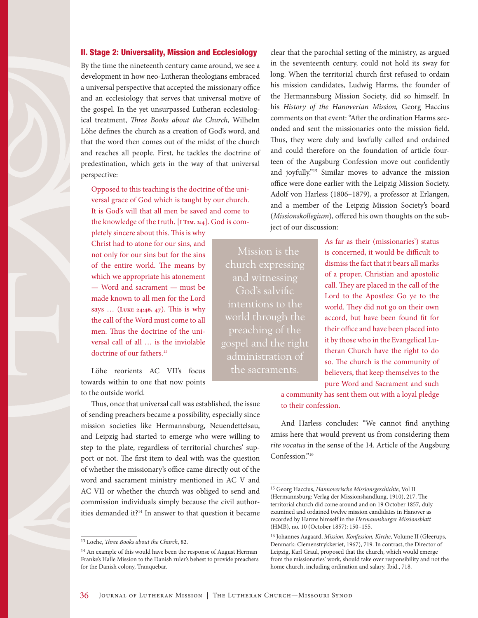## II. Stage 2: Universality, Mission and Ecclesiology

By the time the nineteenth century came around, we see a development in how neo-Lutheran theologians embraced a universal perspective that accepted the missionary office and an ecclesiology that serves that universal motive of the gospel. In the yet unsurpassed Lutheran ecclesiological treatment, *Three Books about the Church*, Wilhelm Löhe defines the church as a creation of God's word, and that the word then comes out of the midst of the church and reaches all people. First, he tackles the doctrine of predestination, which gets in the way of that universal perspective:

Opposed to this teaching is the doctrine of the universal grace of God which is taught by our church. It is God's will that all men be saved and come to the knowledge of the truth. [**I Tim. 2:4**]. God is com-

pletely sincere about this. This is why Christ had to atone for our sins, and not only for our sins but for the sins of the entire world. The means by which we appropriate his atonement — Word and sacrament — must be made known to all men for the Lord says … (**Luke 24:46, 47**). This is why the call of the Word must come to all men. Thus the doctrine of the universal call of all … is the inviolable doctrine of our fathers.<sup>13</sup>

Löhe reorients AC VII's focus towards within to one that now points to the outside world.

Thus, once that universal call was established, the issue of sending preachers became a possibility, especially since mission societies like Hermannsburg, Neuendettelsau, and Leipzig had started to emerge who were willing to step to the plate, regardless of territorial churches' support or not. The first item to deal with was the question of whether the missionary's office came directly out of the word and sacrament ministry mentioned in AC V and AC VII or whether the church was obliged to send and commission individuals simply because the civil authorities demanded it?14 In answer to that question it became clear that the parochial setting of the ministry, as argued in the seventeenth century, could not hold its sway for long. When the territorial church first refused to ordain his mission candidates, Ludwig Harms, the founder of the Hermannsburg Mission Society, did so himself. In his *History of the Hanoverian Mission,* Georg Haccius comments on that event: "After the ordination Harms seconded and sent the missionaries onto the mission field. Thus, they were duly and lawfully called and ordained and could therefore on the foundation of article fourteen of the Augsburg Confession move out confidently and joyfully."15 Similar moves to advance the mission office were done earlier with the Leipzig Mission Society. Adolf von Harless (1806–1879), a professor at Erlangen, and a member of the Leipzig Mission Society's board (*Missionskollegium*), offered his own thoughts on the subject of our discussion:

Mission is the and witnessing God's salvific intentions to the world through the gospel and the right administration of the sacraments.

As far as their (missionaries') status is concerned, it would be difficult to dismiss the fact that it bears all marks of a proper, Christian and apostolic call. They are placed in the call of the Lord to the Apostles: Go ye to the world. They did not go on their own accord, but have been found fit for their office and have been placed into it by those who in the Evangelical Lutheran Church have the right to do so. The church is the community of believers, that keep themselves to the pure Word and Sacrament and such

a community has sent them out with a loyal pledge to their confession.

And Harless concludes: "We cannot find anything amiss here that would prevent us from considering them *rite vocatus* in the sense of the 14. Article of the Augsburg Confession."16

<sup>13</sup> Loehe, *Three Books about the Church*, 82.

<sup>&</sup>lt;sup>14</sup> An example of this would have been the response of August Herman Franke's Halle Mission to the Danish ruler's behest to provide preachers for the Danish colony, Tranquebar.

<sup>15</sup> Georg Haccius, *Hannoverische Missionsgeschichte*, Vol II (Hermannsburg: Verlag der Missionshandlung, 1910), 217. The territorial church did come around and on 19 October 1857, duly examined and ordained twelve mission candidates in Hanover as recorded by Harms himself in the *Hermannsburger Missionsblatt* (HMB), no. 10 (October 1857): 150–155.

<sup>16</sup> Johannes Aagaard, *Mission, Konfession, Kirche*, Volume II (Gleerups, Denmark: Clemenstrykkeriet, 1967), 719. In contrast, the Director of Leipzig, Karl Graul, proposed that the church, which would emerge from the missionaries' work, should take over responsibility and not the home church, including ordination and salary. Ibid., 718.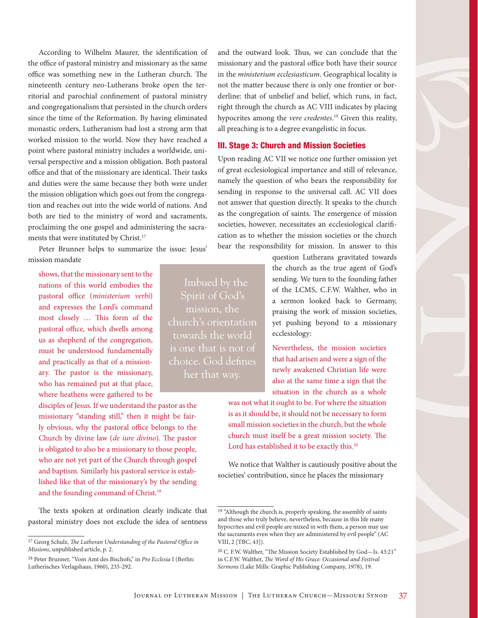According to Wilhelm Maurer, the identification of the office of pastoral ministry and missionary as the same office was something new in the Lutheran church. The nineteenth century neo-Lutherans broke open the territorial and parochial confinement of pastoral ministry and congregationalism that persisted in the church orders since the time of the Reformation. By having eliminated monastic orders, Lutheranism had lost a strong arm that worked mission to the world. Now they have reached a point where pastoral ministry includes a worldwide, universal perspective and a mission obligation. Both pastoral office and that of the missionary are identical. Their tasks and duties were the same because they both were under the mission obligation which goes out from the congregation and reaches out into the wide world of nations. And both are tied to the ministry of word and sacraments, proclaiming the one gospel and administering the sacraments that were instituted by Christ.<sup>17</sup>

Peter Brunner helps to summarize the issue: Jesus' mission mandate

shows, that the missionary sent to the nations of this world embodies the pastoral office (*ministerium verbi*) and expresses the Lord's command most closely … This form of the pastoral office, which dwells among us as shepherd of the congregation, must be understood fundamentally and practically as that of a missionary. The pastor is the missionary, who has remained put at that place, where heathens were gathered to be

disciples of Jesus. If we understand the pastor as the missionary "standing still," then it might be fairly obvious, why the pastoral office belongs to the Church by divine law (*de iure divino*). The pastor is obligated to also be a missionary to those people, who are not yet part of the Church through gospel and baptism. Similarly his pastoral service is established like that of the missionary's by the sending and the founding command of Christ.<sup>18</sup>

The texts spoken at ordination clearly indicate that pastoral ministry does not exclude the idea of sentness

Spirit of God's mission, the towards the world is one that is not of choice. God defines

and the outward look. Thus, we can conclude that the missionary and the pastoral office both have their source in the *ministerium ecclesiasticum*. Geographical locality is not the matter because there is only one frontier or borderline: that of unbelief and belief, which runs, in fact, right through the church as AC VIII indicates by placing hypocrites among the *vere credentes*. 19 Given this reality, all preaching is to a degree evangelistic in focus.

## III. Stage 3: Church and Mission Societies

Upon reading AC VII we notice one further omission yet of great ecclesiological importance and still of relevance, namely the question of who bears the responsibility for sending in response to the universal call. AC VII does not answer that question directly. It speaks to the church as the congregation of saints. The emergence of mission societies, however, necessitates an ecclesiological clarification as to whether the mission societies or the church bear the responsibility for mission. In answer to this

> question Lutherans gravitated towards the church as the true agent of God's sending. We turn to the founding father of the LCMS, C.F.W. Walther, who in a sermon looked back to Germany, praising the work of mission societies, yet pushing beyond to a missionary ecclesiology:

Nevertheless, the mission societies that had arisen and were a sign of the newly awakened Christian life were also at the same time a sign that the situation in the church as a whole

was not what it ought to be. For where the situation is as it should be, it should not be necessary to form small mission societies in the church, but the whole church must itself be a great mission society. The Lord has established it to be exactly this.<sup>20</sup>

We notice that Walther is cautiously positive about the societies' contribution, since he places the missionary

<sup>17</sup> Georg Schulz, *The Lutheran Understanding of the Pastoral Office in Missions*, unpublished article, p. 2.

<sup>18</sup> Peter Brunner, "Vom Amt des Bischofs," in *Pro Ecclesia* I (Berlin: Lutherisches Verlagshaus, 1960), 235-292.

<sup>&</sup>lt;sup>19</sup> "Although the church is, properly speaking, the assembly of saints and those who truly believe, nevertheless, because in this life many hypocrites and evil people are mixed in with them, a person may use the sacraments even when they are administered by evil people" (AC VIII, 2 [TBC, 43]).

<sup>20</sup> C. F.W. Walther, "The Mission Society Established by God—Is. 43:21" in C.F.W. Walther, *The Word of His Grace: Occasional and Festival Sermons* (Lake Mills: Graphic Publishing Company, 1978), 19.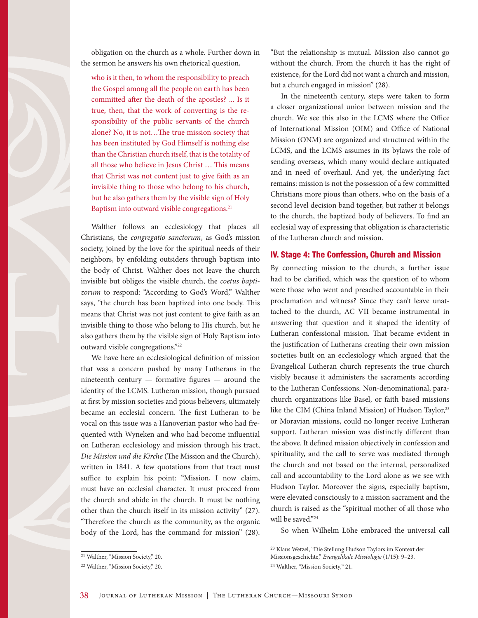obligation on the church as a whole. Further down in the sermon he answers his own rhetorical question,

who is it then, to whom the responsibility to preach the Gospel among all the people on earth has been committed after the death of the apostles? ... Is it true, then, that the work of converting is the responsibility of the public servants of the church alone? No, it is not…The true mission society that has been instituted by God Himself is nothing else than the Christian church itself, that is the totality of all those who believe in Jesus Christ … This means that Christ was not content just to give faith as an invisible thing to those who belong to his church, but he also gathers them by the visible sign of Holy Baptism into outward visible congregations.<sup>21</sup>

Walther follows an ecclesiology that places all Christians, the *congregatio sanctorum*, as God's mission society, joined by the love for the spiritual needs of their neighbors, by enfolding outsiders through baptism into the body of Christ. Walther does not leave the church invisible but obliges the visible church, the *coetus baptizorum* to respond: "According to God's Word," Walther says, "the church has been baptized into one body. This means that Christ was not just content to give faith as an invisible thing to those who belong to His church, but he also gathers them by the visible sign of Holy Baptism into outward visible congregations."22

We have here an ecclesiological definition of mission that was a concern pushed by many Lutherans in the nineteenth century — formative figures — around the identity of the LCMS. Lutheran mission, though pursued at first by mission societies and pious believers, ultimately became an ecclesial concern. The first Lutheran to be vocal on this issue was a Hanoverian pastor who had frequented with Wyneken and who had become influential on Lutheran ecclesiology and mission through his tract, *Die Mission und die Kirche* (The Mission and the Church), written in 1841. A few quotations from that tract must suffice to explain his point: "Mission, I now claim, must have an ecclesial character. It must proceed from the church and abide in the church. It must be nothing other than the church itself in its mission activity" (27). "Therefore the church as the community, as the organic body of the Lord, has the command for mission" (28). "But the relationship is mutual. Mission also cannot go without the church. From the church it has the right of existence, for the Lord did not want a church and mission, but a church engaged in mission" (28).

In the nineteenth century, steps were taken to form a closer organizational union between mission and the church. We see this also in the LCMS where the Office of International Mission (OIM) and Office of National Mission (ONM) are organized and structured within the LCMS, and the LCMS assumes in its bylaws the role of sending overseas, which many would declare antiquated and in need of overhaul. And yet, the underlying fact remains: mission is not the possession of a few committed Christians more pious than others, who on the basis of a second level decision band together, but rather it belongs to the church, the baptized body of believers. To find an ecclesial way of expressing that obligation is characteristic of the Lutheran church and mission.

#### IV. Stage 4: The Confession, Church and Mission

By connecting mission to the church, a further issue had to be clarified, which was the question of to whom were those who went and preached accountable in their proclamation and witness? Since they can't leave unattached to the church, AC VII became instrumental in answering that question and it shaped the identity of Lutheran confessional mission. That became evident in the justification of Lutherans creating their own mission societies built on an ecclesiology which argued that the Evangelical Lutheran church represents the true church visibly because it administers the sacraments according to the Lutheran Confessions. Non-denominational, parachurch organizations like Basel, or faith based missions like the CIM (China Inland Mission) of Hudson Taylor,<sup>23</sup> or Moravian missions, could no longer receive Lutheran support. Lutheran mission was distinctly different than the above. It defined mission objectively in confession and spirituality, and the call to serve was mediated through the church and not based on the internal, personalized call and accountability to the Lord alone as we see with Hudson Taylor. Moreover the signs, especially baptism, were elevated consciously to a mission sacrament and the church is raised as the "spiritual mother of all those who will be saved."24

So when Wilhelm Löhe embraced the universal call

<sup>21</sup> Walther, "Mission Society," 20.

<sup>22</sup> Walther, "Mission Society," 20.

<sup>23</sup> Klaus Wetzel, "Die Stellung Hudson Taylors im Kontext der Missionsgeschichte," *Evangelikale Missiologie* (1/15): 9–23.

<sup>24</sup> Walther, "Mission Society," 21.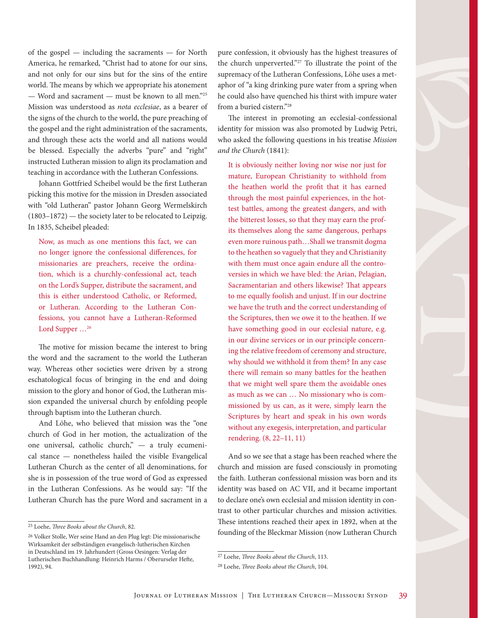of the gospel — including the sacraments — for North America, he remarked, "Christ had to atone for our sins, and not only for our sins but for the sins of the entire world. The means by which we appropriate his atonement — Word and sacrament — must be known to all men."25 Mission was understood as *nota ecclesiae*, as a bearer of the signs of the church to the world, the pure preaching of the gospel and the right administration of the sacraments, and through these acts the world and all nations would be blessed. Especially the adverbs "pure" and "right" instructed Lutheran mission to align its proclamation and teaching in accordance with the Lutheran Confessions.

Johann Gottfried Scheibel would be the first Lutheran picking this motive for the mission in Dresden associated with "old Lutheran" pastor Johann Georg Wermelskirch (1803–1872) — the society later to be relocated to Leipzig. In 1835, Scheibel pleaded:

Now, as much as one mentions this fact, we can no longer ignore the confessional differences, for missionaries are preachers, receive the ordination, which is a churchly-confessional act, teach on the Lord's Supper, distribute the sacrament, and this is either understood Catholic, or Reformed, or Lutheran. According to the Lutheran Confessions, you cannot have a Lutheran-Reformed Lord Supper ...<sup>26</sup>

The motive for mission became the interest to bring the word and the sacrament to the world the Lutheran way. Whereas other societies were driven by a strong eschatological focus of bringing in the end and doing mission to the glory and honor of God, the Lutheran mission expanded the universal church by enfolding people through baptism into the Lutheran church.

And Löhe, who believed that mission was the "one church of God in her motion, the actualization of the one universal, catholic church," — a truly ecumenical stance — nonetheless hailed the visible Evangelical Lutheran Church as the center of all denominations, for she is in possession of the true word of God as expressed in the Lutheran Confessions. As he would say: "If the Lutheran Church has the pure Word and sacrament in a

pure confession, it obviously has the highest treasures of the church unperverted."27 To illustrate the point of the supremacy of the Lutheran Confessions, Löhe uses a metaphor of "a king drinking pure water from a spring when he could also have quenched his thirst with impure water from a buried cistern."28

The interest in promoting an ecclesial-confessional identity for mission was also promoted by Ludwig Petri, who asked the following questions in his treatise *Mission and the Church* (1841):

It is obviously neither loving nor wise nor just for mature, European Christianity to withhold from the heathen world the profit that it has earned through the most painful experiences, in the hottest battles, among the greatest dangers, and with the bitterest losses, so that they may earn the profits themselves along the same dangerous, perhaps even more ruinous path…Shall we transmit dogma to the heathen so vaguely that they and Christianity with them must once again endure all the controversies in which we have bled: the Arian, Pelagian, Sacramentarian and others likewise? That appears to me equally foolish and unjust. If in our doctrine we have the truth and the correct understanding of the Scriptures, then we owe it to the heathen. If we have something good in our ecclesial nature, e.g. in our divine services or in our principle concerning the relative freedom of ceremony and structure, why should we withhold it from them? In any case there will remain so many battles for the heathen that we might well spare them the avoidable ones as much as we can … No missionary who is commissioned by us can, as it were, simply learn the Scriptures by heart and speak in his own words without any exegesis, interpretation, and particular rendering. (8, 22–11, 11)

And so we see that a stage has been reached where the church and mission are fused consciously in promoting the faith. Lutheran confessional mission was born and its identity was based on AC VII, and it became important to declare one's own ecclesial and mission identity in contrast to other particular churches and mission activities. These intentions reached their apex in 1892, when at the founding of the Bleckmar Mission (now Lutheran Church

<sup>25</sup> Loehe, *Three Books about the Church*, 82.

<sup>26</sup> Volker Stolle, Wer seine Hand an den Plug legt: Die missionarische Wirksamkeit der selbständigen evangelisch-lutherischen Kirchen in Deutschland im 19. Jahrhundert (Gross Oesingen: Verlag der Lutherischen Buchhandlung: Heinrich Harms / Oberurseler Hefte, 1992), 94.

<sup>27</sup> Loehe, *Three Books about the Church*, 113.

<sup>28</sup> Loehe, *Three Books about the Church*, 104.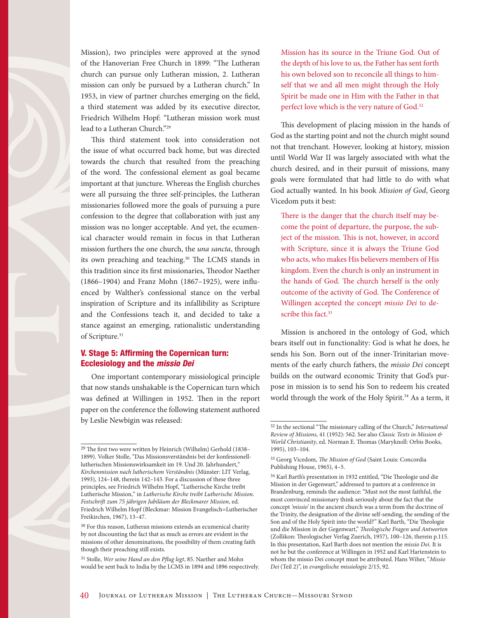

This third statement took into consideration not the issue of what occurred back home, but was directed towards the church that resulted from the preaching of the word. The confessional element as goal became important at that juncture. Whereas the English churches were all pursuing the three self-principles, the Lutheran missionaries followed more the goals of pursuing a pure confession to the degree that collaboration with just any mission was no longer acceptable. And yet, the ecumenical character would remain in focus in that Lutheran mission furthers the one church, the *una sancta*, through its own preaching and teaching.30 The LCMS stands in this tradition since its first missionaries, Theodor Naether (1866–1904) and Franz Mohn (1867–1925), were influenced by Walther's confessional stance on the verbal inspiration of Scripture and its infallibility as Scripture and the Confessions teach it, and decided to take a stance against an emerging, rationalistic understanding of Scripture.<sup>31</sup>

## V. Stage 5: Affirming the Copernican turn: Ecclesiology and the *missio Dei*

One important contemporary missiological principle that now stands unshakable is the Copernican turn which was defined at Willingen in 1952. Then in the report paper on the conference the following statement authored by Leslie Newbigin was released:

31 Stolle, *Wer seine Hand an den Pflug legt*, 85. Naether and Mohn would be sent back to India by the LCMS in 1894 and 1896 respectively. Mission has its source in the Triune God. Out of the depth of his love to us, the Father has sent forth his own beloved son to reconcile all things to himself that we and all men might through the Holy Spirit be made one in Him with the Father in that perfect love which is the very nature of God.<sup>32</sup>

This development of placing mission in the hands of God as the starting point and not the church might sound not that trenchant. However, looking at history, mission until World War II was largely associated with what the church desired, and in their pursuit of missions, many goals were formulated that had little to do with what God actually wanted. In his book *Mission of God*, Georg Vicedom puts it best:

There is the danger that the church itself may become the point of departure, the purpose, the subject of the mission. This is not, however, in accord with Scripture, since it is always the Triune God who acts, who makes His believers members of His kingdom. Even the church is only an instrument in the hands of God. The church herself is the only outcome of the activity of God. The Conference of Willingen accepted the concept *missio Dei* to describe this fact.<sup>33</sup>

Mission is anchored in the ontology of God, which bears itself out in functionality: God is what he does, he sends his Son. Born out of the inner-Trinitarian movements of the early church fathers, the *missio Dei* concept builds on the outward economic Trinity that God's purpose in mission is to send his Son to redeem his created world through the work of the Holy Spirit.<sup>34</sup> As a term, it

<sup>29</sup> The first two were written by Heinrich (Wilhelm) Gerhold (1838– 1899). Volker Stolle, "Das Missionsverständnis bei der konfessionelllutherischen Missionswirksamkeit im 19. Und 20. Jahrhundert," *Kirchenmission nach lutherischem Verständnis* (Münster: LIT Verlag, 1993), 124–148, therein 142–143. For a discussion of these three principles, see Friedrich Wilhelm Hopf, "Lutherische Kirche treibt Lutherische Mission," in *Lutherische Kirche treibt Lutherische Mission*. *Festschrift zum 75 jährigen Jubiläum der Bleckmarer Mission*, ed. Friedrich Wilhelm Hopf (Bleckmar: Mission Evangelisch=Lutherischer Freikirchen, 1967), 13–47.

<sup>&</sup>lt;sup>30</sup> For this reason, Lutheran missions extends an ecumenical charity by not discounting the fact that as much as errors are evident in the missions of other denominations, the possibility of them creating faith though their preaching still exists.

<sup>32</sup> In the sectional "The missionary calling of the Church," *International Review of Missions*, 41 (1952): 562. See also *Classic Texts in Mission & World Christianity*, ed. Norman E. Thomas (Maryknoll: Orbis Books, 1995), 103–104.

<sup>33</sup> Georg Vicedom, *The Mission of God* (Saint Louis: Concordia Publishing House, 1965), 4–5.

<sup>34</sup> Karl Barth's presentation in 1932 entitled, "Die Theologie und die Mission in der Gegenwart," addressed to pastors at a conference in Brandenburg, reminds the audience: "Must not the most faithful, the most convinced missionary think seriously about the fact that the concept *'missio'* in the ancient church was a term from the doctrine of the Trinity, the designation of the divine self-sending, the sending of the Son and of the Holy Spirit into the world?" Karl Barth, "Die Theologie und die Mission in der Gegenwart," *Theologische Fragen und Antworten*  (Zollikon: Theologischer Verlag Zuerich, 1957), 100–126, therein p.115. In this presentation, Karl Barth does not mention the *missio Dei.* It is not he but the conference at Willingen in 1952 and Karl Hartenstein to whom the missio Dei concept must be attributed. Hans Wiher, "*Missio Dei* (Teil 2)", in *evangelische missiologie* 2/15, 92.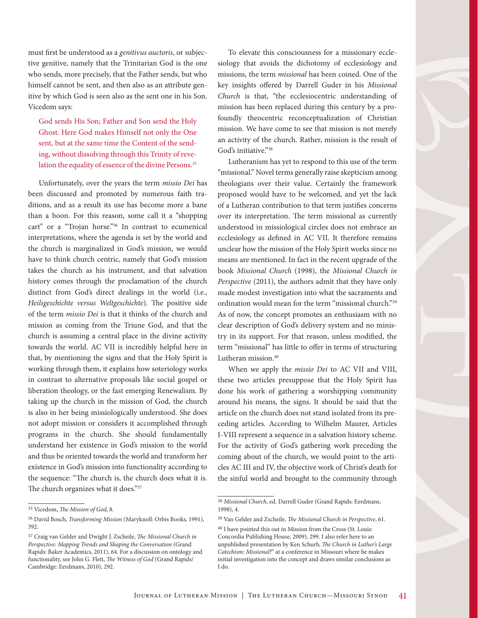must first be understood as a *genitivus auctoris*, or subjective genitive, namely that the Trinitarian God is the one who sends, more precisely, that the Father sends, but who himself cannot be sent, and then also as an attribute genitive by which God is seen also as the sent one in his Son. Vicedom says:

God sends His Son; Father and Son send the Holy Ghost. Here God makes Himself not only the One sent, but at the same time the Content of the sending, without dissolving through this Trinity of revelation the equality of essence of the divine Persons.<sup>35</sup>

Unfortunately, over the years the term *missio Dei* has been discussed and promoted by numerous faith traditions, and as a result its use has become more a bane than a boon. For this reason, some call it a "shopping cart" or a "Trojan horse."<sup>36</sup> In contrast to ecumenical interpretations, where the agenda is set by the world and the church is marginalized in God's mission, we would have to think church centric, namely that God's mission takes the church as his instrument, and that salvation history comes through the proclamation of the church distinct from God's direct dealings in the world (i.e., *Heilsgeschichte versus Weltgeschichte*). The positive side of the term *missio Dei* is that it thinks of the church and mission as coming from the Triune God, and that the church is assuming a central place in the divine activity towards the world. AC VII is incredibly helpful here in that, by mentioning the signs and that the Holy Spirit is working through them, it explains how soteriology works in contrast to alternative proposals like social gospel or liberation theology, or the fast emerging Renewalism. By taking up the church in the mission of God, the church is also in her being missiologically understood. She does not adopt mission or considers it accomplished through programs in the church. She should fundamentally understand her existence in God's mission to the world and thus be oriented towards the world and transform her existence in God's mission into functionality according to the sequence: "The church is, the church does what it is. The church organizes what it does."37

To elevate this consciousness for a missionary ecclesiology that avoids the dichotomy of ecclesiology and missions, the term *missional* has been coined. One of the key insights offered by Darrell Guder in his *Missional Church* is that, "the ecclesiocentric understanding of mission has been replaced during this century by a profoundly theocentric reconceptualization of Christian mission. We have come to see that mission is not merely an activity of the church. Rather, mission is the result of God's initiative."38

Lutheranism has yet to respond to this use of the term "missional." Novel terms generally raise skepticism among theologians over their value. Certainly the framework proposed would have to be welcomed, and yet the lack of a Lutheran contribution to that term justifies concerns over its interpretation. The term missional as currently understood in missiological circles does not embrace an ecclesiology as defined in AC VII. It therefore remains unclear how the mission of the Holy Spirit works since no means are mentioned. In fact in the recent upgrade of the book *Missional Church* (1998), the *Missional Church in Perspective* (2011), the authors admit that they have only made modest investigation into what the sacraments and ordination would mean for the term "missional church."39 As of now, the concept promotes an enthusiasm with no clear description of God's delivery system and no ministry in its support. For that reason, unless modified, the term "missional" has little to offer in terms of structuring Lutheran mission.<sup>40</sup>

When we apply the *missio Dei* to AC VII and VIII, these two articles presuppose that the Holy Spirit has done his work of gathering a worshipping community around his means, the signs. It should be said that the article on the church does not stand isolated from its preceding articles. According to Wilhelm Maurer, Articles I-VIII represent a sequence in a salvation history scheme. For the activity of God's gathering work preceding the coming about of the church, we would point to the articles AC III and IV, the objective work of Christ's death for the sinful world and brought to the community through

<sup>35</sup> Vicedom, *The Mission of God*, 8.

<sup>36</sup> David Bosch, *Transforming Mission* (Maryknoll: Orbis Books, 1991), 392.

<sup>37</sup> Craig van Gelder and Dwight J. Zscheile, *The Missional Church in Perspective: Mapping Trends and Shaping the Conversation* (Grand Rapids: Baker Academics, 2011), 64. For a discussion on ontology and functionality, see John G. Flett, *The Witness of God* (Grand Rapids/ Cambridge: Eerdmans, 2010), 292.

<sup>38</sup> *Missional Church*, ed. Darrell Guder (Grand Rapids: Eerdmans, 1998), 4.

<sup>39</sup> Van Gelder and Zscheile, *The Missional Church in Perspective*, 61.

<sup>40</sup> I have pointed this out in Mission from the Cross (St. Louis: Concordia Publishing House, 2009), 299. I also refer here to an unpublished presentation by Ken Schurb, *The Church in Luther's Large Catechism: Missional?*" at a conference in Missouri where he makes initial investigation into the concept and draws similar conclusions as I do.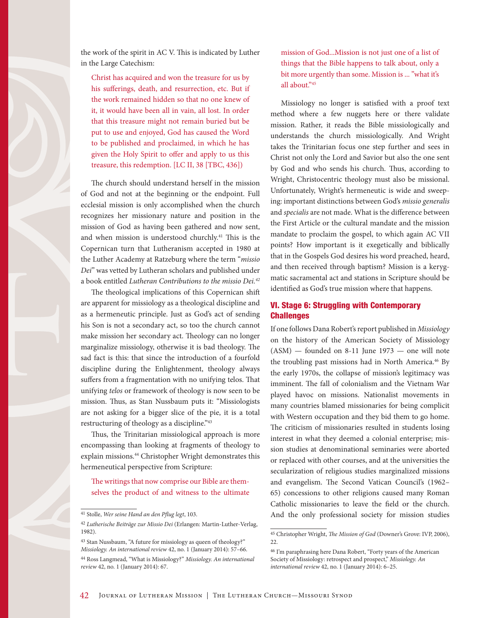

the work of the spirit in AC V. This is indicated by Luther in the Large Catechism:

Christ has acquired and won the treasure for us by his sufferings, death, and resurrection, etc. But if the work remained hidden so that no one knew of it, it would have been all in vain, all lost. In order that this treasure might not remain buried but be put to use and enjoyed, God has caused the Word to be published and proclaimed, in which he has given the Holy Spirit to offer and apply to us this treasure, this redemption. [LC II, 38 [TBC, 436])

The church should understand herself in the mission of God and not at the beginning or the endpoint. Full ecclesial mission is only accomplished when the church recognizes her missionary nature and position in the mission of God as having been gathered and now sent, and when mission is understood churchly.<sup>41</sup> This is the Copernican turn that Lutheranism accepted in 1980 at the Luther Academy at Ratzeburg where the term "*missio Dei*" was vetted by Lutheran scholars and published under a book entitled *Lutheran Contributions to the missio Dei.42*

The theological implications of this Copernican shift are apparent for missiology as a theological discipline and as a hermeneutic principle. Just as God's act of sending his Son is not a secondary act, so too the church cannot make mission her secondary act. Theology can no longer marginalize missiology, otherwise it is bad theology. The sad fact is this: that since the introduction of a fourfold discipline during the Enlightenment, theology always suffers from a fragmentation with no unifying telos. That unifying *telos* or framework of theology is now seen to be mission. Thus, as Stan Nussbaum puts it: "Missiologists are not asking for a bigger slice of the pie, it is a total restructuring of theology as a discipline."43

Thus, the Trinitarian missiological approach is more encompassing than looking at fragments of theology to explain missions.<sup>44</sup> Christopher Wright demonstrates this hermeneutical perspective from Scripture:

The writings that now comprise our Bible are themselves the product of and witness to the ultimate mission of God...Mission is not just one of a list of things that the Bible happens to talk about, only a bit more urgently than some. Mission is ... "what it's all about."45

Missiology no longer is satisfied with a proof text method where a few nuggets here or there validate mission. Rather, it reads the Bible missiologically and understands the church missiologically. And Wright takes the Trinitarian focus one step further and sees in Christ not only the Lord and Savior but also the one sent by God and who sends his church. Thus, according to Wright, Christocentric theology must also be missional. Unfortunately, Wright's hermeneutic is wide and sweeping: important distinctions between God's *missio generalis* and *specialis* are not made. What is the difference between the First Article or the cultural mandate and the mission mandate to proclaim the gospel, to which again AC VII points? How important is it exegetically and biblically that in the Gospels God desires his word preached, heard, and then received through baptism? Mission is a kerygmatic sacramental act and stations in Scripture should be identified as God's true mission where that happens.

## VI. Stage 6: Struggling with Contemporary **Challenges**

If one follows Dana Robert's report published in *Missiology* on the history of the American Society of Missiology  $(ASM)$  — founded on 8-11 June 1973 — one will note the troubling past missions had in North America.<sup>46</sup> By the early 1970s, the collapse of mission's legitimacy was imminent. The fall of colonialism and the Vietnam War played havoc on missions. Nationalist movements in many countries blamed missionaries for being complicit with Western occupation and they bid them to go home. The criticism of missionaries resulted in students losing interest in what they deemed a colonial enterprise; mission studies at denominational seminaries were aborted or replaced with other courses, and at the universities the secularization of religious studies marginalized missions and evangelism. The Second Vatican Council's (1962– 65) concessions to other religions caused many Roman Catholic missionaries to leave the field or the church. And the only professional society for mission studies

<sup>41</sup> Stolle, *Wer seine Hand an den Pflug legt*, 103.

<sup>42</sup> *Lutherische Beiträge zur Missio Dei* (Erlangen: Martin-Luther-Verlag, 1982).

<sup>43</sup> Stan Nussbaum, "A future for missiology as queen of theology?" *Missiology. An international review* 42, no. 1 (January 2014): 57–66.

<sup>44</sup> Ross Langmead, "What is Missiology?" *Missiology. An international review* 42, no. 1 (January 2014): 67.

<sup>45</sup> Christopher Wright, *The Mission of God* (Downer's Grove: IVP, 2006), 22.

<sup>46</sup> I'm paraphrasing here Dana Robert, "Forty years of the American Society of Missiology: retrospect and prospect," *Missiology. An international review* 42, no. 1 (January 2014): 6–25.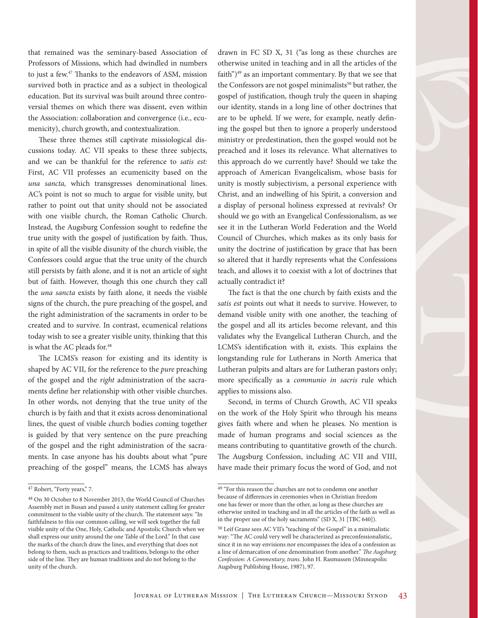that remained was the seminary-based Association of Professors of Missions, which had dwindled in numbers to just a few.47 Thanks to the endeavors of ASM, mission survived both in practice and as a subject in theological education. But its survival was built around three controversial themes on which there was dissent, even within the Association: collaboration and convergence (i.e., ecumenicity), church growth, and contextualization.

These three themes still captivate missiological discussions today. AC VII speaks to these three subjects, and we can be thankful for the reference to *satis est:*  First, AC VII professes an ecumenicity based on the *una sancta,* which transgresses denominational lines. AC's point is not so much to argue for visible unity, but rather to point out that unity should not be associated with one visible church, the Roman Catholic Church. Instead, the Augsburg Confession sought to redefine the true unity with the gospel of justification by faith. Thus, in spite of all the visible disunity of the church visible, the Confessors could argue that the true unity of the church still persists by faith alone, and it is not an article of sight but of faith. However, though this one church they call the *una sancta* exists by faith alone, it needs the visible signs of the church, the pure preaching of the gospel, and the right administration of the sacraments in order to be created and to survive. In contrast, ecumenical relations today wish to see a greater visible unity, thinking that this is what the AC pleads for.<sup>48</sup>

The LCMS's reason for existing and its identity is shaped by AC VII, for the reference to the *pure* preaching of the gospel and the *right* administration of the sacraments define her relationship with other visible churches. In other words, not denying that the true unity of the church is by faith and that it exists across denominational lines, the quest of visible church bodies coming together is guided by that very sentence on the pure preaching of the gospel and the right administration of the sacraments. In case anyone has his doubts about what "pure preaching of the gospel" means, the LCMS has always drawn in FC SD X, 31 ("as long as these churches are otherwise united in teaching and in all the articles of the faith") $49$  as an important commentary. By that we see that the Confessors are not gospel minimalists<sup>50</sup> but rather, the gospel of justification, though truly the queen in shaping our identity, stands in a long line of other doctrines that are to be upheld. If we were, for example, neatly defining the gospel but then to ignore a properly understood ministry or predestination, then the gospel would not be preached and it loses its relevance. What alternatives to this approach do we currently have? Should we take the approach of American Evangelicalism, whose basis for unity is mostly subjectivism, a personal experience with Christ, and an indwelling of his Spirit, a conversion and a display of personal holiness expressed at revivals? Or should we go with an Evangelical Confessionalism, as we see it in the Lutheran World Federation and the World Council of Churches, which makes as its only basis for unity the doctrine of justification by grace that has been so altered that it hardly represents what the Confessions teach, and allows it to coexist with a lot of doctrines that actually contradict it?

The fact is that the one church by faith exists and the *satis est* points out what it needs to survive. However, to demand visible unity with one another, the teaching of the gospel and all its articles become relevant, and this validates why the Evangelical Lutheran Church, and the LCMS's identification with it, exists. This explains the longstanding rule for Lutherans in North America that Lutheran pulpits and altars are for Lutheran pastors only; more specifically as a *communio in sacris* rule which applies to missions also.

Second, in terms of Church Growth, AC VII speaks on the work of the Holy Spirit who through his means gives faith where and when he pleases. No mention is made of human programs and social sciences as the means contributing to quantitative growth of the church. The Augsburg Confession, including AC VII and VIII, have made their primary focus the word of God, and not

<sup>47</sup> Robert, "Forty years," 7.

<sup>48</sup> On 30 October to 8 November 2013, the World Council of Churches Assembly met in Busan and passed a unity statement calling for greater commitment to the visible unity of the church. The statement says: "In faithfulness to this our common calling, we will seek together the full visible unity of the One, Holy, Catholic and Apostolic Church when we shall express our unity around the one Table of the Lord." In that case the marks of the church draw the lines, and everything that does not belong to them, such as practices and traditions, belongs to the other side of the line. They are human traditions and do not belong to the unity of the church.

 $^{\rm 49}$  "For this reason the churches are not to condemn one another because of differences in ceremonies when in Christian freedom one has fewer or more than the other, as long as these churches are otherwise united in teaching and in all the articles of the faith as well as in the proper use of the holy sacraments" (SD X, 31 [TBC 640]).

<sup>50</sup> Leif Grane sees AC VII's "teaching of the Gospel" in a minimalistic way: "The AC could very well be characterized as preconfessionalistic, since it in no way envisions nor encompasses the idea of a confession as a line of demarcation of one denomination from another." *The Augsburg Confession: A Commentary, trans.* John H. Rasmussen (Minneapolis: Augsburg Publishing House, 1987), 97.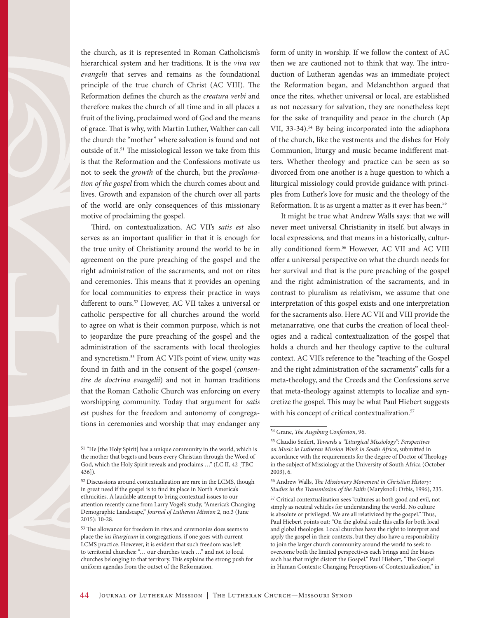the church, as it is represented in Roman Catholicism's hierarchical system and her traditions. It is the *viva vox evangelii* that serves and remains as the foundational principle of the true church of Christ (AC VIII). The Reformation defines the church as the *creatura verbi* and therefore makes the church of all time and in all places a fruit of the living, proclaimed word of God and the means of grace. That is why, with Martin Luther, Walther can call the church the "mother" where salvation is found and not outside of it.51 The missiological lesson we take from this is that the Reformation and the Confessions motivate us not to seek the *growth* of the church, but the *proclamation of the gospel* from which the church comes about and lives. Growth and expansion of the church over all parts of the world are only consequences of this missionary motive of proclaiming the gospel.

Third, on contextualization, AC VII's *satis est* also serves as an important qualifier in that it is enough for the true unity of Christianity around the world to be in agreement on the pure preaching of the gospel and the right administration of the sacraments, and not on rites and ceremonies. This means that it provides an opening for local communities to express their practice in ways different to ours.<sup>52</sup> However, AC VII takes a universal or catholic perspective for all churches around the world to agree on what is their common purpose, which is not to jeopardize the pure preaching of the gospel and the administration of the sacraments with local theologies and syncretism.<sup>53</sup> From AC VII's point of view, unity was found in faith and in the consent of the gospel (*consentire de doctrina evangelii*) and not in human traditions that the Roman Catholic Church was enforcing on every worshipping community. Today that argument for *satis est* pushes for the freedom and autonomy of congregations in ceremonies and worship that may endanger any form of unity in worship. If we follow the context of AC then we are cautioned not to think that way. The introduction of Lutheran agendas was an immediate project the Reformation began, and Melanchthon argued that once the rites, whether universal or local, are established as not necessary for salvation, they are nonetheless kept for the sake of tranquility and peace in the church (Ap VII, 33-34).<sup>54</sup> By being incorporated into the adiaphora of the church, like the vestments and the dishes for Holy Communion, liturgy and music became indifferent matters. Whether theology and practice can be seen as so divorced from one another is a huge question to which a liturgical missiology could provide guidance with principles from Luther's love for music and the theology of the Reformation. It is as urgent a matter as it ever has been.<sup>55</sup>

It might be true what Andrew Walls says: that we will never meet universal Christianity in itself, but always in local expressions, and that means in a historically, culturally conditioned form.<sup>56</sup> However, AC VII and AC VIII offer a universal perspective on what the church needs for her survival and that is the pure preaching of the gospel and the right administration of the sacraments, and in contrast to pluralism as relativism, we assume that one interpretation of this gospel exists and one interpretation for the sacraments also. Here AC VII and VIII provide the metanarrative, one that curbs the creation of local theologies and a radical contextualization of the gospel that holds a church and her theology captive to the cultural context. AC VII's reference to the "teaching of the Gospel and the right administration of the sacraments" calls for a meta-theology, and the Creeds and the Confessions serve that meta-theology against attempts to localize and syncretize the gospel. This may be what Paul Hiebert suggests with his concept of critical contextualization.<sup>57</sup>

<sup>51 &</sup>quot;He [the Holy Spirit] has a unique community in the world, which is the mother that begets and bears every Christian through the Word of God, which the Holy Spirit reveals and proclaims …" (LC II, 42 [TBC 436]).

<sup>52</sup> Discussions around contextualization are rare in the LCMS, though in great need if the gospel is to find its place in North America's ethnicities. A laudable attempt to bring contextual issues to our attention recently came from Larry Vogel's study, "America's Changing Demographic Landscape," *Journal of Lutheran Mission* 2, no.3 (June 2015): 10-28.

<sup>53</sup> The allowance for freedom in rites and ceremonies does seems to place the *ius liturgicum* in congregations, if one goes with current LCMS practice. However, it is evident that such freedom was left to territorial churches: "… our churches teach …" and not to local churches belonging to that territory. This explains the strong push for uniform agendas from the outset of the Reformation.

<sup>54</sup> Grane, *The Augsburg Confession*, 96.

<sup>55</sup> Claudio Seifert, *Towards a "Liturgical Missiology": Perspectives on Music in Lutheran Mission Work in South Africa*, submitted in accordance with the requirements for the degree of Doctor of Theology in the subject of Missiology at the University of South Africa (October 2003), 6.

<sup>56</sup> Andrew Walls, *The Missionary Movement in Christian History: Studies in the Transmission of the Faith* (Maryknoll: Orbis, 1996), 235.

<sup>57</sup> Critical contextualization sees "cultures as both good and evil, not simply as neutral vehicles for understanding the world. No culture is absolute or privileged. We are all relativized by the gospel." Thus, Paul Hiebert points out: "On the global scale this calls for both local and global theologies. Local churches have the right to interpret and apply the gospel in their contexts, but they also have a responsibility to join the larger church community around the world to seek to overcome both the limited perspectives each brings and the biases each has that might distort the Gospel." Paul Hiebert, "The Gospel in Human Contexts: Changing Perceptions of Contextualization," in